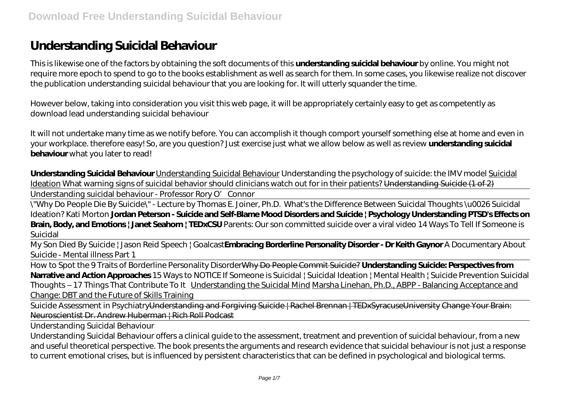## **Understanding Suicidal Behaviour**

This is likewise one of the factors by obtaining the soft documents of this **understanding suicidal behaviour** by online. You might not require more epoch to spend to go to the books establishment as well as search for them. In some cases, you likewise realize not discover the publication understanding suicidal behaviour that you are looking for. It will utterly squander the time.

However below, taking into consideration you visit this web page, it will be appropriately certainly easy to get as competently as download lead understanding suicidal behaviour

It will not undertake many time as we notify before. You can accomplish it though comport yourself something else at home and even in your workplace. therefore easy! So, are you question? Just exercise just what we allow below as well as review **understanding suicidal behaviour** what you later to read!

**Understanding Suicidal Behaviour** Understanding Suicidal Behaviour *Understanding the psychology of suicide: the IMV model* Suicidal Ideation *What warning signs of suicidal behavior should clinicians watch out for in their patients?* Understanding Suicide (1 of 2)

Understanding suicidal behaviour - Professor Rory O' Connor

\"Why Do People Die By Suicide\" - Lecture by Thomas E. Joiner, Ph.D. *What's the Difference Between Suicidal Thoughts \u0026 Suicidal Ideation? Kati Morton* **Jordan Peterson - Suicide and Self-Blame Mood Disorders and Suicide | Psychology Understanding PTSD's Effects on Brain, Body, and Emotions | Janet Seahorn | TEDxCSU** *Parents: Our son committed suicide over a viral video* 14 Ways To Tell If Someone is Suicidal

My Son Died By Suicide | Jason Reid Speech | Goalcast**Embracing Borderline Personality Disorder - Dr Keith Gaynor** A Documentary About Suicide - Mental illness Part 1

How to Spot the 9 Traits of Borderline Personality DisorderWhy Do People Commit Suicide? **Understanding Suicide: Perspectives from Narrative and Action Approaches** *15 Ways to NOTICE If Someone is Suicidal | Suicidal Ideation | Mental Health | Suicide Prevention Suicidal Thoughts – 17 Things That Contribute To It* Understanding the Suicidal Mind Marsha Linehan, Ph.D., ABPP - Balancing Acceptance and Change: DBT and the Future of Skills Training

Suicide Assessment in PsychiatryUnderstanding and Forgiving Suicide | Rachel Brennan | TEDxSyracuseUniversity Change Your Brain: Neuroscientist Dr. Andrew Huberman | Rich Roll Podcast

Understanding Suicidal Behaviour

Understanding Suicidal Behaviour offers a clinical guide to the assessment, treatment and prevention of suicidal behaviour, from a new and useful theoretical perspective. The book presents the arguments and research evidence that suicidal behaviour is not just a response to current emotional crises, but is influenced by persistent characteristics that can be defined in psychological and biological terms.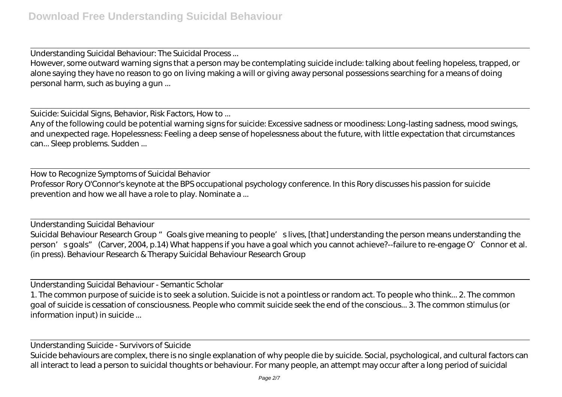Understanding Suicidal Behaviour: The Suicidal Process ... However, some outward warning signs that a person may be contemplating suicide include: talking about feeling hopeless, trapped, or alone saying they have no reason to go on living making a will or giving away personal possessions searching for a means of doing personal harm, such as buying a gun ...

Suicide: Suicidal Signs, Behavior, Risk Factors, How to ...

Any of the following could be potential warning signs for suicide: Excessive sadness or moodiness: Long-lasting sadness, mood swings, and unexpected rage. Hopelessness: Feeling a deep sense of hopelessness about the future, with little expectation that circumstances can... Sleep problems. Sudden ...

How to Recognize Symptoms of Suicidal Behavior Professor Rory O'Connor's keynote at the BPS occupational psychology conference. In this Rory discusses his passion for suicide prevention and how we all have a role to play. Nominate a ...

Understanding Suicidal Behaviour Suicidal Behaviour Research Group " Goals give meaning to people' slives, [that] understanding the person means understanding the person's goals" (Carver, 2004, p.14) What happens if you have a goal which you cannot achieve?--failure to re-engage O'Connor et al. (in press). Behaviour Research & Therapy Suicidal Behaviour Research Group

Understanding Suicidal Behaviour - Semantic Scholar

1. The common purpose of suicide is to seek a solution. Suicide is not a pointless or random act. To people who think... 2. The common goal of suicide is cessation of consciousness. People who commit suicide seek the end of the conscious... 3. The common stimulus (or information input) in suicide ...

Understanding Suicide - Survivors of Suicide

Suicide behaviours are complex, there is no single explanation of why people die by suicide. Social, psychological, and cultural factors can all interact to lead a person to suicidal thoughts or behaviour. For many people, an attempt may occur after a long period of suicidal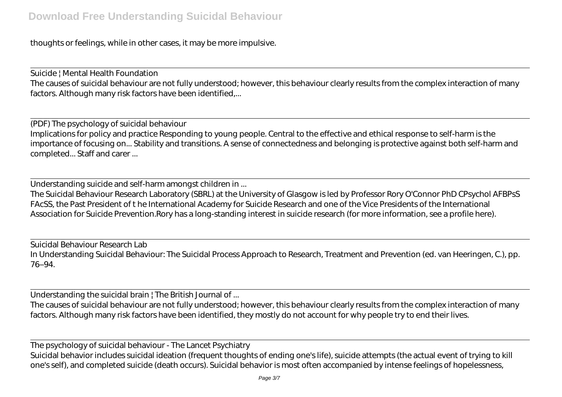thoughts or feelings, while in other cases, it may be more impulsive.

Suicide | Mental Health Foundation The causes of suicidal behaviour are not fully understood; however, this behaviour clearly results from the complex interaction of many factors. Although many risk factors have been identified,...

(PDF) The psychology of suicidal behaviour Implications for policy and practice Responding to young people. Central to the effective and ethical response to self-harm is the importance of focusing on... Stability and transitions. A sense of connectedness and belonging is protective against both self-harm and completed... Staff and carer ...

Understanding suicide and self-harm amongst children in ...

The Suicidal Behaviour Research Laboratory (SBRL) at the University of Glasgow is led by Professor Rory O'Connor PhD CPsychol AFBPsS FAcSS, the Past President of t he International Academy for Suicide Research and one of the Vice Presidents of the International Association for Suicide Prevention.Rory has a long-standing interest in suicide research (for more information, see a profile here).

Suicidal Behaviour Research Lab In Understanding Suicidal Behaviour: The Suicidal Process Approach to Research, Treatment and Prevention (ed. van Heeringen, C.), pp. 76–94.

Understanding the suicidal brain | The British Journal of ...

The causes of suicidal behaviour are not fully understood; however, this behaviour clearly results from the complex interaction of many factors. Although many risk factors have been identified, they mostly do not account for why people try to end their lives.

The psychology of suicidal behaviour - The Lancet Psychiatry Suicidal behavior includes suicidal ideation (frequent thoughts of ending one's life), suicide attempts (the actual event of trying to kill one's self), and completed suicide (death occurs). Suicidal behavior is most often accompanied by intense feelings of hopelessness,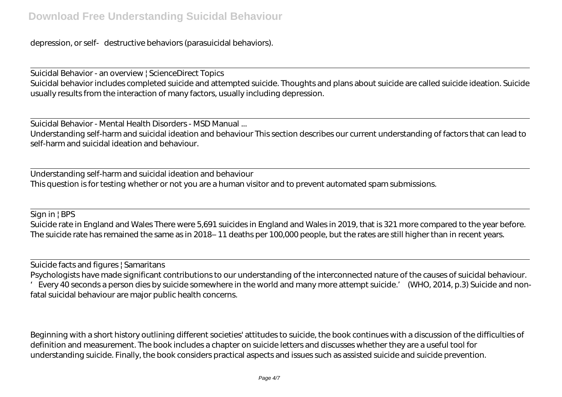depression, or self destructive behaviors (parasuicidal behaviors).

Suicidal Behavior - an overview | ScienceDirect Topics Suicidal behavior includes completed suicide and attempted suicide. Thoughts and plans about suicide are called suicide ideation. Suicide usually results from the interaction of many factors, usually including depression.

Suicidal Behavior - Mental Health Disorders - MSD Manual ...

Understanding self-harm and suicidal ideation and behaviour This section describes our current understanding of factors that can lead to self-harm and suicidal ideation and behaviour.

Understanding self-harm and suicidal ideation and behaviour This question is for testing whether or not you are a human visitor and to prevent automated spam submissions.

Sign in | BPS

Suicide rate in England and Wales There were 5,691 suicides in England and Wales in 2019, that is 321 more compared to the year before. The suicide rate has remained the same as in 2018– 11 deaths per 100,000 people, but the rates are still higher than in recent years.

Suicide facts and figures | Samaritans Psychologists have made significant contributions to our understanding of the interconnected nature of the causes of suicidal behaviour. 'Every 40 seconds a person dies by suicide somewhere in the world and many more attempt suicide.' (WHO, 2014, p.3) Suicide and nonfatal suicidal behaviour are major public health concerns.

Beginning with a short history outlining different societies' attitudes to suicide, the book continues with a discussion of the difficulties of definition and measurement. The book includes a chapter on suicide letters and discusses whether they are a useful tool for understanding suicide. Finally, the book considers practical aspects and issues such as assisted suicide and suicide prevention.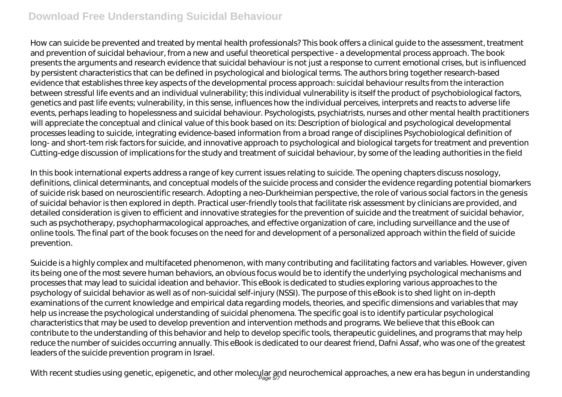## **Download Free Understanding Suicidal Behaviour**

How can suicide be prevented and treated by mental health professionals? This book offers a clinical guide to the assessment, treatment and prevention of suicidal behaviour, from a new and useful theoretical perspective - a developmental process approach. The book presents the arguments and research evidence that suicidal behaviour is not just a response to current emotional crises, but is influenced by persistent characteristics that can be defined in psychological and biological terms. The authors bring together research-based evidence that establishes three key aspects of the developmental process approach: suicidal behaviour results from the interaction between stressful life events and an individual vulnerability; this individual vulnerability is itself the product of psychobiological factors, genetics and past life events; vulnerability, in this sense, influences how the individual perceives, interprets and reacts to adverse life events, perhaps leading to hopelessness and suicidal behaviour. Psychologists, psychiatrists, nurses and other mental health practitioners will appreciate the conceptual and clinical value of this book based on its: Description of biological and psychological developmental processes leading to suicide, integrating evidence-based information from a broad range of disciplines Psychobiological definition of long- and short-tem risk factors for suicide, and innovative approach to psychological and biological targets for treatment and prevention Cutting-edge discussion of implications for the study and treatment of suicidal behaviour, by some of the leading authorities in the field

In this book international experts address a range of key current issues relating to suicide. The opening chapters discuss nosology, definitions, clinical determinants, and conceptual models of the suicide process and consider the evidence regarding potential biomarkers of suicide risk based on neuroscientific research. Adopting a neo-Durkheimian perspective, the role of various social factors in the genesis of suicidal behavior is then explored in depth. Practical user-friendly tools that facilitate risk assessment by clinicians are provided, and detailed consideration is given to efficient and innovative strategies for the prevention of suicide and the treatment of suicidal behavior, such as psychotherapy, psychopharmacological approaches, and effective organization of care, including surveillance and the use of online tools. The final part of the book focuses on the need for and development of a personalized approach within the field of suicide prevention.

Suicide is a highly complex and multifaceted phenomenon, with many contributing and facilitating factors and variables. However, given its being one of the most severe human behaviors, an obvious focus would be to identify the underlying psychological mechanisms and processes that may lead to suicidal ideation and behavior. This eBook is dedicated to studies exploring various approaches to the psychology of suicidal behavior as well as of non-suicidal self-injury (NSSI). The purpose of this eBook is to shed light on in-depth examinations of the current knowledge and empirical data regarding models, theories, and specific dimensions and variables that may help us increase the psychological understanding of suicidal phenomena. The specific goal is to identify particular psychological characteristics that may be used to develop prevention and intervention methods and programs. We believe that this eBook can contribute to the understanding of this behavior and help to develop specific tools, therapeutic guidelines, and programs that may help reduce the number of suicides occurring annually. This eBook is dedicated to our dearest friend, Dafni Assaf, who was one of the greatest leaders of the suicide prevention program in Israel.

With recent studies using genetic, epigenetic, and other molecular and neurochemical approaches, a new era has begun in understanding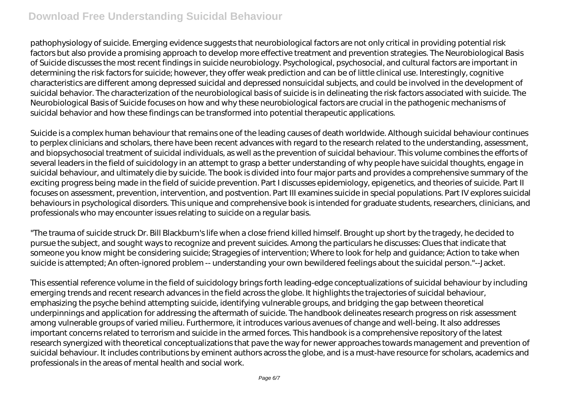## **Download Free Understanding Suicidal Behaviour**

pathophysiology of suicide. Emerging evidence suggests that neurobiological factors are not only critical in providing potential risk factors but also provide a promising approach to develop more effective treatment and prevention strategies. The Neurobiological Basis of Suicide discusses the most recent findings in suicide neurobiology. Psychological, psychosocial, and cultural factors are important in determining the risk factors for suicide; however, they offer weak prediction and can be of little clinical use. Interestingly, cognitive characteristics are different among depressed suicidal and depressed nonsuicidal subjects, and could be involved in the development of suicidal behavior. The characterization of the neurobiological basis of suicide is in delineating the risk factors associated with suicide. The Neurobiological Basis of Suicide focuses on how and why these neurobiological factors are crucial in the pathogenic mechanisms of suicidal behavior and how these findings can be transformed into potential therapeutic applications.

Suicide is a complex human behaviour that remains one of the leading causes of death worldwide. Although suicidal behaviour continues to perplex clinicians and scholars, there have been recent advances with regard to the research related to the understanding, assessment, and biopsychosocial treatment of suicidal individuals, as well as the prevention of suicidal behaviour. This volume combines the efforts of several leaders in the field of suicidology in an attempt to grasp a better understanding of why people have suicidal thoughts, engage in suicidal behaviour, and ultimately die by suicide. The book is divided into four major parts and provides a comprehensive summary of the exciting progress being made in the field of suicide prevention. Part I discusses epidemiology, epigenetics, and theories of suicide. Part II focuses on assessment, prevention, intervention, and postvention. Part III examines suicide in special populations. Part IV explores suicidal behaviours in psychological disorders. This unique and comprehensive book is intended for graduate students, researchers, clinicians, and professionals who may encounter issues relating to suicide on a regular basis.

"The trauma of suicide struck Dr. Bill Blackburn's life when a close friend killed himself. Brought up short by the tragedy, he decided to pursue the subject, and sought ways to recognize and prevent suicides. Among the particulars he discusses: Clues that indicate that someone you know might be considering suicide; Stragegies of intervention; Where to look for help and guidance; Action to take when suicide is attempted; An often-ignored problem -- understanding your own bewildered feelings about the suicidal person."--Jacket.

This essential reference volume in the field of suicidology brings forth leading-edge conceptualizations of suicidal behaviour by including emerging trends and recent research advances in the field across the globe. It highlights the trajectories of suicidal behaviour, emphasizing the psyche behind attempting suicide, identifying vulnerable groups, and bridging the gap between theoretical underpinnings and application for addressing the aftermath of suicide. The handbook delineates research progress on risk assessment among vulnerable groups of varied milieu. Furthermore, it introduces various avenues of change and well-being. It also addresses important concerns related to terrorism and suicide in the armed forces. This handbook is a comprehensive repository of the latest research synergized with theoretical conceptualizations that pave the way for newer approaches towards management and prevention of suicidal behaviour. It includes contributions by eminent authors across the globe, and is a must-have resource for scholars, academics and professionals in the areas of mental health and social work.